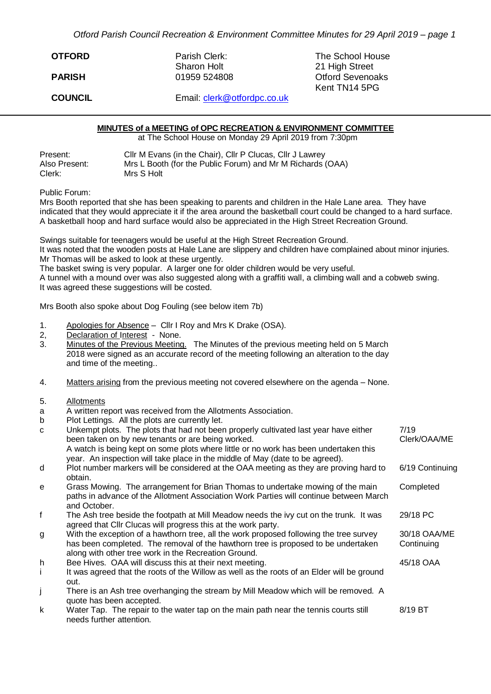*Otford Parish Council Recreation & Environment Committee Minutes for 29 April 2019 – page 1*

| <b>OTFORD</b>  | Parish Clerk:<br><b>Sharon Holt</b> | The School House<br>21 High Street       |
|----------------|-------------------------------------|------------------------------------------|
| <b>PARISH</b>  | 01959 524808                        | <b>Otford Sevenoaks</b><br>Kent TN14 5PG |
| <b>COUNCIL</b> | Email: clerk@otfordpc.co.uk         |                                          |

## **MINUTES of a MEETING of OPC RECREATION & ENVIRONMENT COMMITTEE**

at The School House on Monday 29 April 2019 from 7:30pm

| Present:      | CIIr M Evans (in the Chair), CIIr P Clucas, CIIr J Lawrey  |
|---------------|------------------------------------------------------------|
| Also Present: | Mrs L Booth (for the Public Forum) and Mr M Richards (OAA) |
| Clerk:        | Mrs S Holt                                                 |

Public Forum:

Mrs Booth reported that she has been speaking to parents and children in the Hale Lane area. They have indicated that they would appreciate it if the area around the basketball court could be changed to a hard surface. A basketball hoop and hard surface would also be appreciated in the High Street Recreation Ground.

Swings suitable for teenagers would be useful at the High Street Recreation Ground.

It was noted that the wooden posts at Hale Lane are slippery and children have complained about minor injuries. Mr Thomas will be asked to look at these urgently.

The basket swing is very popular. A larger one for older children would be very useful.

A tunnel with a mound over was also suggested along with a graffiti wall, a climbing wall and a cobweb swing. It was agreed these suggestions will be costed.

Mrs Booth also spoke about Dog Fouling (see below item 7b)

- 1. Apologies for Absence Cllr I Roy and Mrs K Drake (OSA).
- 2, Declaration of Interest None.
- 3. Minutes of the Previous Meeting. The Minutes of the previous meeting held on 5 March 2018 were signed as an accurate record of the meeting following an alteration to the day and time of the meeting..
- 4. Matters arising from the previous meeting not covered elsewhere on the agenda None.
- 5. Allotments
- a A written report was received from the Allotments Association.
- b Plot Lettings. All the plots are currently let.

| $\mathbf{C}$ | Unkempt plots. The plots that had not been properly cultivated last year have either<br>been taken on by new tenants or are being worked.                                                                                           | 7/19<br>Clerk/OAA/ME       |
|--------------|-------------------------------------------------------------------------------------------------------------------------------------------------------------------------------------------------------------------------------------|----------------------------|
|              | A watch is being kept on some plots where little or no work has been undertaken this<br>year. An inspection will take place in the middle of May (date to be agreed).                                                               |                            |
| d            | Plot number markers will be considered at the OAA meeting as they are proving hard to<br>obtain.                                                                                                                                    | 6/19 Continuing            |
| e            | Grass Mowing. The arrangement for Brian Thomas to undertake mowing of the main<br>paths in advance of the Allotment Association Work Parties will continue between March<br>and October.                                            | Completed                  |
| f            | The Ash tree beside the footpath at Mill Meadow needs the ivy cut on the trunk. It was<br>agreed that Cllr Clucas will progress this at the work party.                                                                             | 29/18 PC                   |
| g            | With the exception of a hawthorn tree, all the work proposed following the tree survey<br>has been completed. The removal of the hawthorn tree is proposed to be undertaken<br>along with other tree work in the Recreation Ground. | 30/18 OAA/ME<br>Continuing |
| h            | Bee Hives. OAA will discuss this at their next meeting.                                                                                                                                                                             | 45/18 OAA                  |
| i.           | It was agreed that the roots of the Willow as well as the roots of an Elder will be ground<br>out.                                                                                                                                  |                            |
| j            | There is an Ash tree overhanging the stream by Mill Meadow which will be removed. A<br>quote has been accepted.                                                                                                                     |                            |
| k            | Water Tap. The repair to the water tap on the main path near the tennis courts still<br>needs further attention.                                                                                                                    | 8/19 BT                    |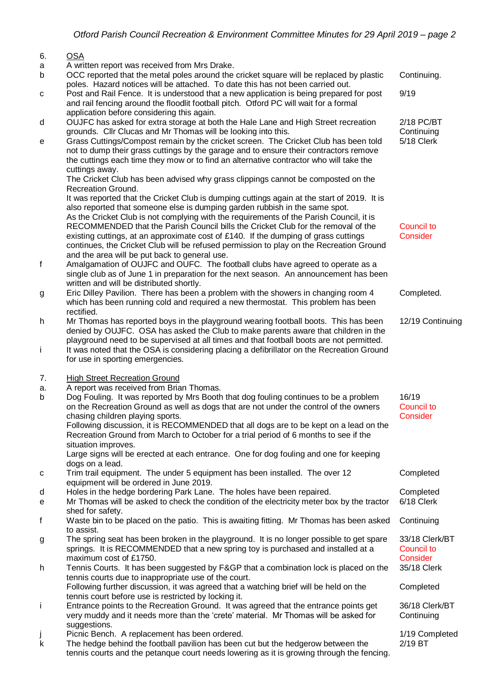## 6. OSA

- a A written report was received from Mrs Drake.
- b OCC reported that the metal poles around the cricket square will be replaced by plastic poles. Hazard notices will be attached. To date this has not been carried out. Continuing.
- c Post and Rail Fence. It is understood that a new application is being prepared for post and rail fencing around the floodlit football pitch. Otford PC will wait for a formal application before considering this again. 9/19
- d OUJFC has asked for extra storage at both the Hale Lane and High Street recreation grounds. Cllr Clucas and Mr Thomas will be looking into this.

| e | Grass Cuttings/Compost remain by the cricket screen. The Cricket Club has been told    | 5/18 Clerk |
|---|----------------------------------------------------------------------------------------|------------|
|   | not to dump their grass cuttings by the garage and to ensure their contractors remove  |            |
|   | the cuttings each time they mow or to find an alternative contractor who will take the |            |
|   | cuttings away.                                                                         |            |
|   | The Cricket Club has been advised why grass clinnings cannot be composted on the       |            |

The Cricket Club has been advised why grass clippings cannot be composted on the Recreation Ground.

It was reported that the Cricket Club is dumping cuttings again at the start of 2019. It is also reported that someone else is dumping garden rubbish in the same spot. As the Cricket Club is not complying with the requirements of the Parish Council, it is RECOMMENDED that the Parish Council bills the Cricket Club for the removal of the existing cuttings, at an approximate cost of £140. If the dumping of grass cuttings continues, the Cricket Club will be refused permission to play on the Recreation Ground and the area will be put back to general use.

- f Amalgamation of OUJFC and OUFC. The football clubs have agreed to operate as a single club as of June 1 in preparation for the next season. An announcement has been written and will be distributed shortly.
- g Eric Dilley Pavilion. There has been a problem with the showers in changing room 4 which has been running cold and required a new thermostat. This problem has been rectified.
- h Mr Thomas has reported boys in the playground wearing football boots. This has been denied by OUJFC. OSA has asked the Club to make parents aware that children in the playground need to be supervised at all times and that football boots are not permitted. 12/19 Continuing
- i It was noted that the OSA is considering placing a defibrillator on the Recreation Ground for use in sporting emergencies.
- 7. High Street Recreation Ground
- a. A report was received from Brian Thomas.
- b Dog Fouling. It was reported by Mrs Booth that dog fouling continues to be a problem on the Recreation Ground as well as dogs that are not under the control of the owners chasing children playing sports. Following discussion, it is RECOMMENDED that all dogs are to be kept on a lead on the Recreation Ground from March to October for a trial period of 6 months to see if the situation improves. Large signs will be erected at each entrance. One for dog fouling and one for keeping dogs on a lead. 16/19 Council to **Consider** Completed
- c Trim trail equipment. The under 5 equipment has been installed. The over 12 equipment will be ordered in June 2019.
- d Holes in the hedge bordering Park Lane. The holes have been repaired. Completed
- e Mr Thomas will be asked to check the condition of the electricity meter box by the tractor shed for safety. 6/18 Clerk
- f Waste bin to be placed on the patio. This is awaiting fitting. Mr Thomas has been asked to assist. **Continuing**
- g The spring seat has been broken in the playground. It is no longer possible to get spare springs. It is RECOMMENDED that a new spring toy is purchased and installed at a maximum cost of £1750.
- h Tennis Courts. It has been suggested by F&GP that a combination lock is placed on the tennis courts due to inappropriate use of the court. Following further discussion, it was agreed that a watching brief will be held on the tennis court before use is restricted by locking it.
- i Entrance points to the Recreation Ground. It was agreed that the entrance points get very muddy and it needs more than the 'crete' material. Mr Thomas will be asked for suggestions.
- Picnic Bench. A replacement has been ordered. 1/19 Completed 1/19 Completed
- k The hedge behind the football pavilion has been cut but the hedgerow between the tennis courts and the petanque court needs lowering as it is growing through the fencing.

Council to **Consider** 

Completed.

2/18 PC/BT **Continuing** 

33/18 Clerk/BT Council to **Consider** 35/18 Clerk

Completed

36/18 Clerk/BT **Continuing** 

2/19 BT